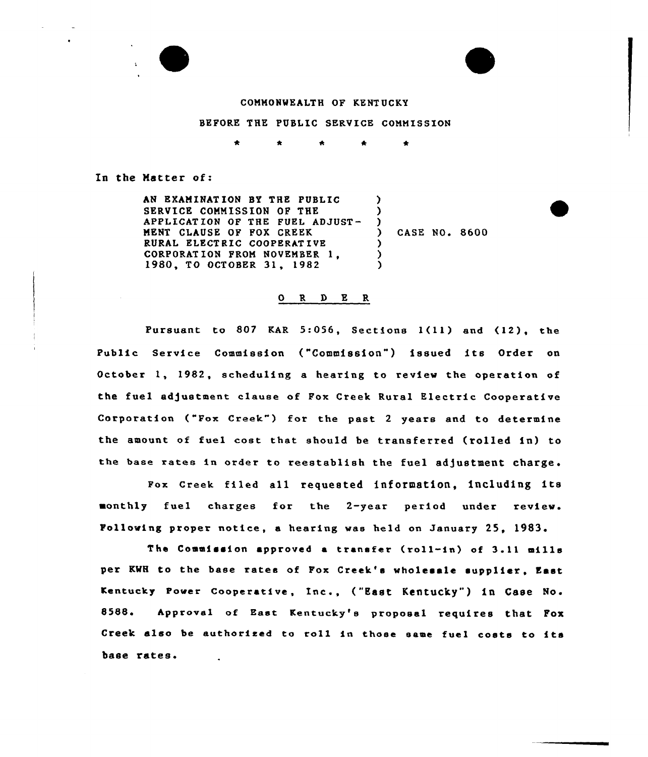

### COMMONWEALTH OF KENTUCKY

# BEFORE THE PUBLIC SERVICE COMMISSION

In the Hetter of:

AN EXAMINATION BY THE PUBLIC SERVICE COMMISSION OF THE APPLICATION OF THE FUEL ADJUST-MENT CLAUSE OF FOX CREEK RURAL ELECTRIC COOPERATIVE CORPORAT ION FROM NOVEMBER 1, 1980, TO OCTOBER 31, 1982  $\lambda$ 

) CASE NO. 8600

 $\lambda$ )<br>)

) ) )

### $\begin{array}{ccccccccc}\n0 & R & D & E & R\n\end{array}$

Pursuant to <sup>807</sup> KAR 5:056, Sections l(11) and (12), the Public Service Commission ("Commission") issued its Order on October 1, 1982, scheduling a hearing to review the operation of the fuel adjustment clauee of Fox Creek Rural Electric Cooperative Corporation ("Fox Creek") for the past 2 years and to determine the amount of fuel cost that should be transferred (rolled in) to the base rates in order to reestablish the fuel adjustment charge.

Fox Creek filed all requested information, including its monthly fuel charges for the 2-year period under review. Following proper notice, a hearing wae held on January 25, 1983

The Commission approved a transfer (roll-in) of 3.11 mills per KWH to the base rates of Fox Creek's wholesale supplier, East Kentucky Power Cooperative, Inc., ("East Kentucky" ) in Case No. 8588. Approval of East Kentucky's proposal requires that Fox Creek also be authorised to ro11 in those same fuel costs to its base rates.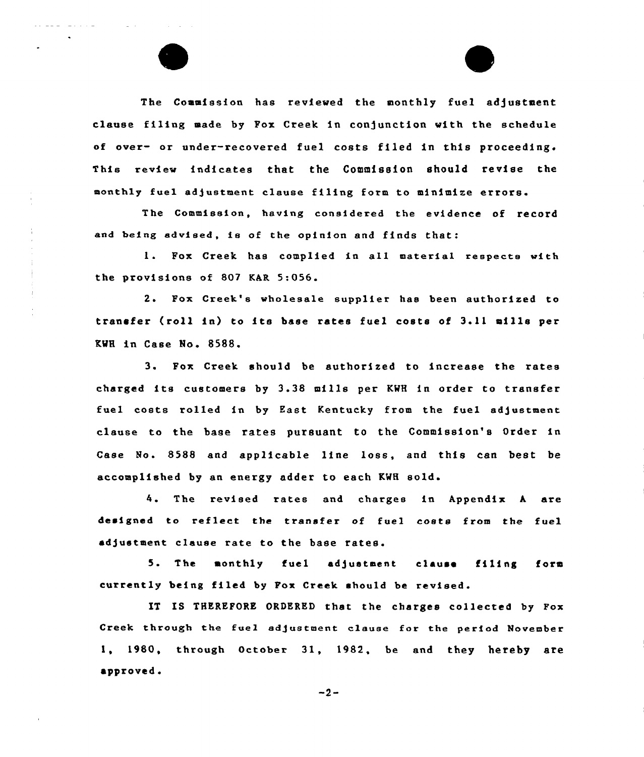The Commission has reviewed the monthly fuel adjustment clause filing made by Fox Creek in conjunction with the schedule of over- or under-recovered fuel costs filed in this proceeding. This review indicates that the Commission should revise the monthly fuel adjustment clause filing form to minimize errors.

The Commission, having considered the evidence of record and being advised, is of the opinion and finds that:

1. Fox Creek has complied in all material respects with the provisions of 807 KAR 5:056.

2. Pox Creek's wholesale supplier has been authorised to transfer (roll in) to its base rates fuel costs of 3.11 mills per RWH in Case No <sup>~</sup> 8588.

3. Pox Creek should be authorised to increase the rates charged its customers by 3.38 mills per KWH in order to transfer fuel costs rolled in by East Kentucky from the fuel adjustment clause to the base rates pursuant to the Commission's Drder in Case No. 8588 and applicable line lose, and this can best be accomplished by an energy adder to each KWH sold.

4. The revised rates and charges in Appendix <sup>A</sup> are designed to reflect the transfer of fuel costs from the fuel adjustment clause rate to the base rates.

5. The monthly fuel ad)ustment clause filing form currently being filed by Fox Creek should be revised.

IT IS THEREFORE ORDERED that the charges collected by Fox Creek through the fuel adjustment clause for the period November 1, 1980, thraugh October 31, 1982, be and they hereby are approved.

 $-2-$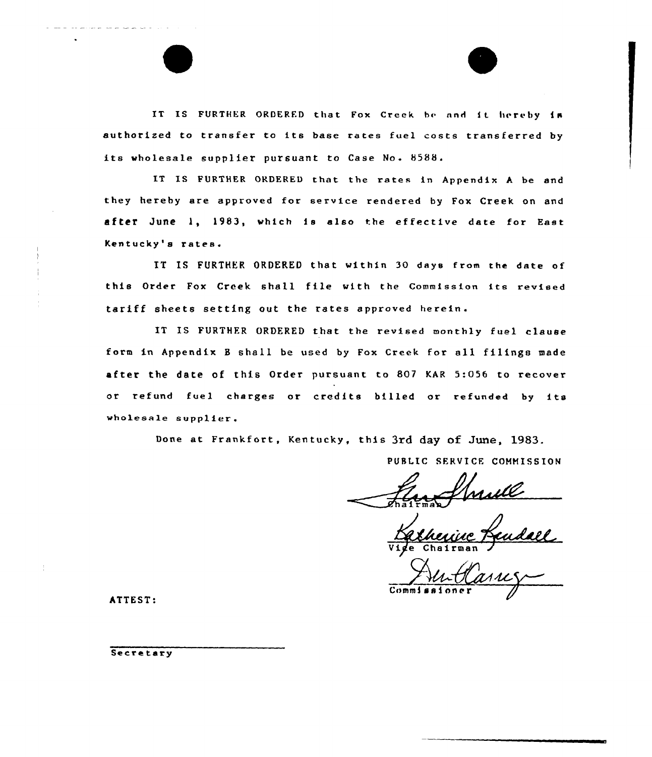IT IS FURTHER ORDERED that Fox Creek be and it hereby in authorized to transfer to its base rates fuel costs transferred by its wholesale supplier pursuant to Case No. 8588.

IT IS FURTHER ORDERED that the rates in Appendix <sup>A</sup> be and they hereby are approved for service rendered by Fox Creek on and after June 1, 1983, which is also the effective date for East Kentucky's rates.

IT IS FURTHER ORDERED that within 30 days from the date of this Order Fax Creek shall file with the Commission its revised tariff sheets setting out the rates approved herein.

IT IS FURTHER ORDERED that the revised monthly fuel clause form in Appendix <sup>B</sup> shall be used by Fox Creek for sll filings made after the date of this Order pursuant to 807 KAR 5:056 to recover or refund fuel charges or credits billed or refunded by its wholesale supplier .

Done at Frankfort, Kentucky, this 3rd day of June, 1983.

PUBLIC SERVICE COMMISSION

 $m \approx$ 

udall Vige Chairma

 $\mathbf{Com}$ 

ATTEST:

Secretary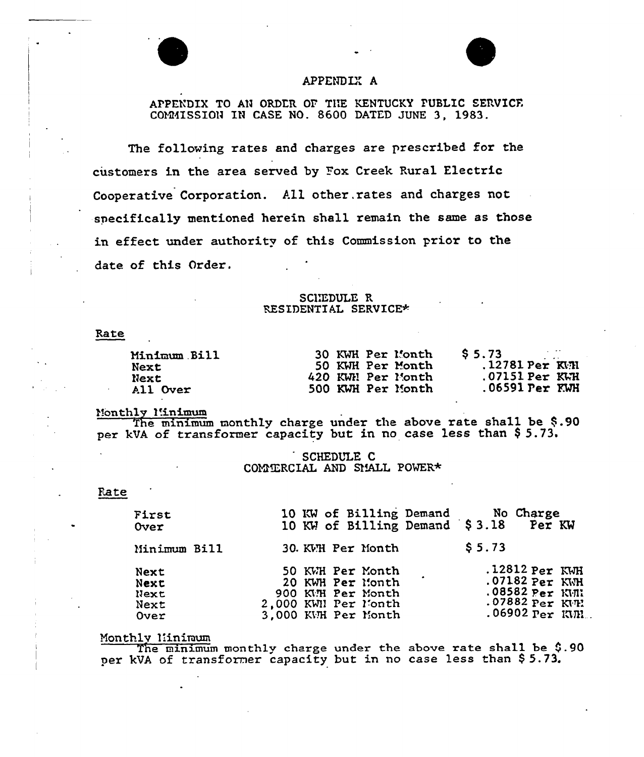# APPENDLY A

# APPENDIX TO AN ORDER OF THE KENTUCKY PUBLIC SERVICE. COMMISSION IN CASE NO. 8600 DATED JUNE 3, 1983.

The following rates and charges are prescribed for the customers in the area served by Pox Creek Rural Electric Cooperative Corporation. All other. rates and charges not specifically mentioned herein shall remain the same as those in effect under authority of this Commission prior to the date of this Order.

## SCI'EDULE R RESIDENTIAL SERVICE\*

Rate

| Minimum Bill | 30 KWH Per Month  | $\sim$ $\sim$ $\sim$<br>S <sub>5.73</sub> |
|--------------|-------------------|-------------------------------------------|
| Next         | 50 KWH Per Month  | $.12781$ Per $K$ H                        |
| Next         | 420 KWN Per Month | $.07151$ Per $K$ $H$                      |
| All Over     | 500 KWH Per Month | $.06591$ $Per$ $KWH$                      |

Monthly Minimum

The minimum monthly charge under the above rate shall be  $$.90$ per kVA of transformer capacity but in no case less than \$5.73.

> SCHEDULE C COMTERCIAL AND SMALL POWER\*

#### Rate

| First<br>Over                        | 10 KW of Billing Demand No Charge<br>10 KW of Billing Demand \$3.18 Per KW                              |                                                                                                      |
|--------------------------------------|---------------------------------------------------------------------------------------------------------|------------------------------------------------------------------------------------------------------|
| Minimum Bill                         | 30. KVH Per Month                                                                                       | \$5.73                                                                                               |
| Next<br>Next<br>Next<br>Next<br>Over | 50 KWH Per Month<br>20 KWH Per Month<br>900 KMH Per Month<br>2,000 KWN Per Month<br>3,000 KWH Per Month | $.12812$ Per KWH<br>$.07182$ Per KWH<br>$.08582$ Per KWN<br>.07882 Per KVE<br>$.06902$ $Per$ $KML$ . |

Monthly I!iniraum

The minimum monthly charge under the above rate shall be  $$.90$ per kVA of transformer capacity but in no case less than \$5.73.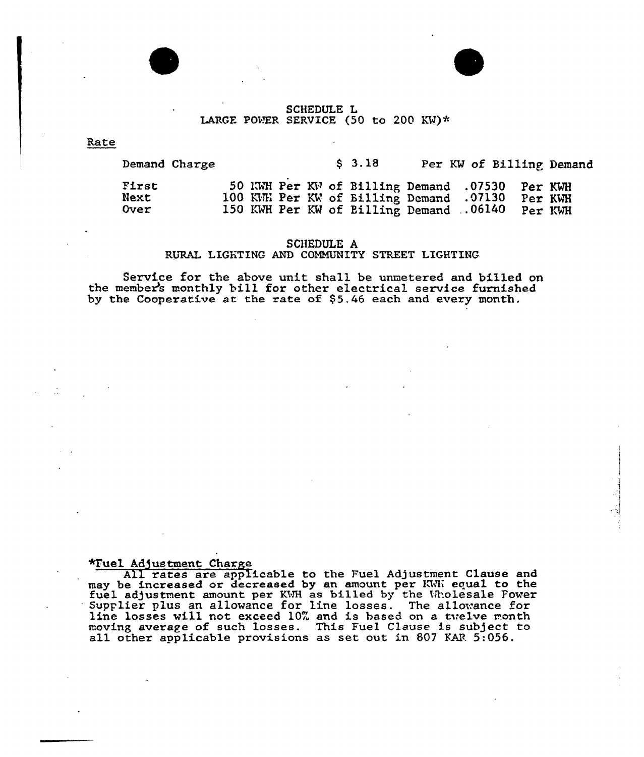### SCHEDULE L LARGE POWER SERVICE (50 to 200 KW)\*

Rate

Demand Charge

3.18 Per KW of Billing Demand

| First |  |  |                                         | 50 KWH Per KW of Billing Demand .07530 | Per KWH |
|-------|--|--|-----------------------------------------|----------------------------------------|---------|
| Next  |  |  | 100 KWH Per KW of Billing Demand .07130 |                                        | Per KWH |
| Over  |  |  | 150 KWH Per KW of Billing Demand .06140 |                                        | Per KWH |

# SCHEDULE A RURAL LIGHTING AND COMMUNITY STREET LIGHTING

Service for the above unit shall be unmetered and billed on the member's monthly bill for other electrical service furnished by the Cooperative at the rate of 95.46 each and every month.

### \*Tuel Adjustment Charge

All rates are applicable to the Fuel Adjustment Clause and may be increased or decreased by an amount per KWN equal to the fuel adjustment amount per KWH as billed by the Wholesale Power Supplier plus an allowance for line losses. The a11owance for suppriet plus an arrowance for the fosses. The arrowance for the set of the month moving average of such losses. This Fuel Clause is subject to all other applicable provisions as set out in <sup>807</sup> KAR 5:056.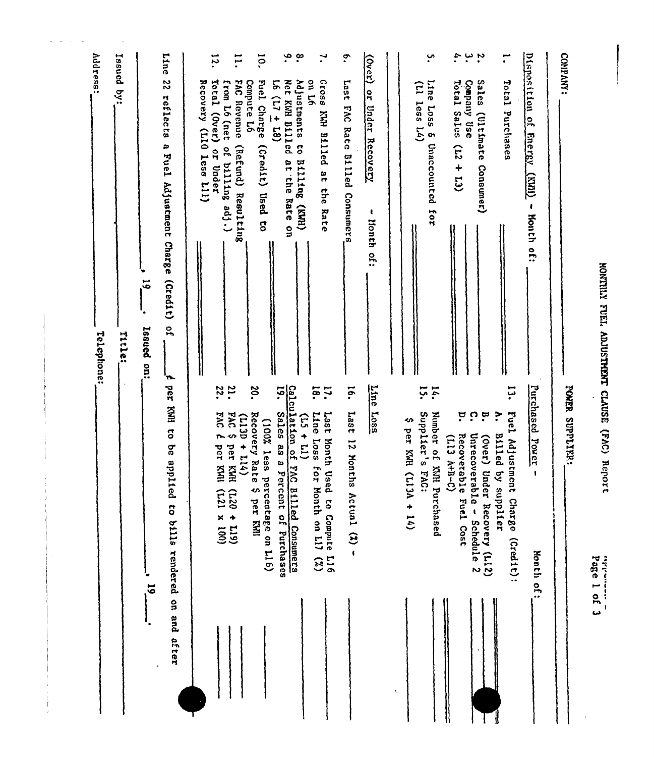| 4.<br>$\ddot{ }$ :<br>COMPANY:<br>$\ddot{\bullet}$<br>ب<br>$\mathbf{r}$<br>$\mathbf{r}$<br>$\frac{1}{2}$ | Disposition of<br>ssoig<br>Last<br>Total Sales<br>Sales<br>Total Purchases<br>Line<br>Company Use<br>(11 less 14)<br> ۹<br> 1<br>2035<br>DAG<br><b>Under Recovery</b><br>(Ultimate<br>KWR Billed at the Rate<br>Rate Billed<br>$\bullet$<br><b>Energy</b><br>Unaccounted<br>$(51 + 51)$<br>Consumer)<br><b>Cram)</b><br>Consumers<br>$\pmb{t}$<br>for<br>$\mathbf{I}$<br>Honth of:<br>honth<br>of: | HONTILY FUEL ADJUSTMENT CLAUSE (FAC) Report<br>Line<br>Line<br>13.<br>Purchased<br>18.<br>$\overline{5}$<br>15.<br>POWER SUPPLIER:<br>$\mathbf{14}$<br>$\ddot{u}$<br><b>Loss</b><br>Last<br>Line<br>Supplier's<br>ŗ<br>္<br>$\mathfrak{p}$<br>?<br><b>Fuel</b><br>1se <sub>T</sub><br>Number of KNH Purchased<br>↭<br>per KWH<br>Recoverable Fuel Cost<br>Unrecoverable -<br>Billed by supplier<br>(Over) Under Recovery (L12)<br>$(113 \text{ } H-12-0)$<br>Adjustment Charge<br>Power<br>1089<br>$\overline{5}$<br>Month Used to Compute L16<br>Months Actual (%) -<br>for Month on LIJ<br>$\mathbf{r}$<br>$(113A + 14)$<br><b>EAC:</b><br>Schedule 2<br>(Credit):<br>Honth of:<br>$\binom{2}{2}$<br>Page 1 of 3<br>وواراتهم ومستعملته |
|----------------------------------------------------------------------------------------------------------|----------------------------------------------------------------------------------------------------------------------------------------------------------------------------------------------------------------------------------------------------------------------------------------------------------------------------------------------------------------------------------------------------|------------------------------------------------------------------------------------------------------------------------------------------------------------------------------------------------------------------------------------------------------------------------------------------------------------------------------------------------------------------------------------------------------------------------------------------------------------------------------------------------------------------------------------------------------------------------------------------------------------------------------------------------------------------------------------------------------------------------------------------|
|                                                                                                          | on L6                                                                                                                                                                                                                                                                                                                                                                                              | G)<br>$\ddot{\bullet}$<br>E                                                                                                                                                                                                                                                                                                                                                                                                                                                                                                                                                                                                                                                                                                              |
| ۹.<br>$\cdot^{\infty}$<br>ō.<br>i2.<br>$\overline{11}$                                                   | Adjustments<br>Recovery (L10 less L11)<br>Total (Over)<br>FAC Revenue<br>$(877/1)$ 97<br>Net KWH Billed at the Rate on<br>Fuel Charge<br>from L6 (net<br>Compute L6<br>to Billing (KWH)<br>(Credit) Used to<br>of billing adj.)<br>(Refund) Resulting<br>or Under                                                                                                                                  | 22.<br>21.<br>20.<br>$\ddot{\bm{5}}$<br>Calculation of FAC Billed Consumers<br>Sales<br>2M<br>$3V_{\rm A}$<br>Recovery Rate<br>(1130)<br><b>ZOOI</b> )<br>↭<br>T.<br>$+ 114)$<br>per KMH (L20 + L19)<br>as a Percent of Purchases<br>per KMI<br>less<br>percentage on L16)<br>S per KMI<br>$(001 \times 127)$                                                                                                                                                                                                                                                                                                                                                                                                                            |
| Line                                                                                                     | 22<br>reflects<br>œ<br>Fuel Adjustment Charge<br>(215)<br>$\vec{5}$<br>$\mathbf{r}$<br>Issued<br>$\frac{1}{2}$<br>$\mathbf{r}$                                                                                                                                                                                                                                                                     | per KWH to be applied to bills rendered on and after<br>$\overline{6}$                                                                                                                                                                                                                                                                                                                                                                                                                                                                                                                                                                                                                                                                   |
|                                                                                                          | Issued by:<br>Title:                                                                                                                                                                                                                                                                                                                                                                               |                                                                                                                                                                                                                                                                                                                                                                                                                                                                                                                                                                                                                                                                                                                                          |
| Address:                                                                                                 |                                                                                                                                                                                                                                                                                                                                                                                                    |                                                                                                                                                                                                                                                                                                                                                                                                                                                                                                                                                                                                                                                                                                                                          |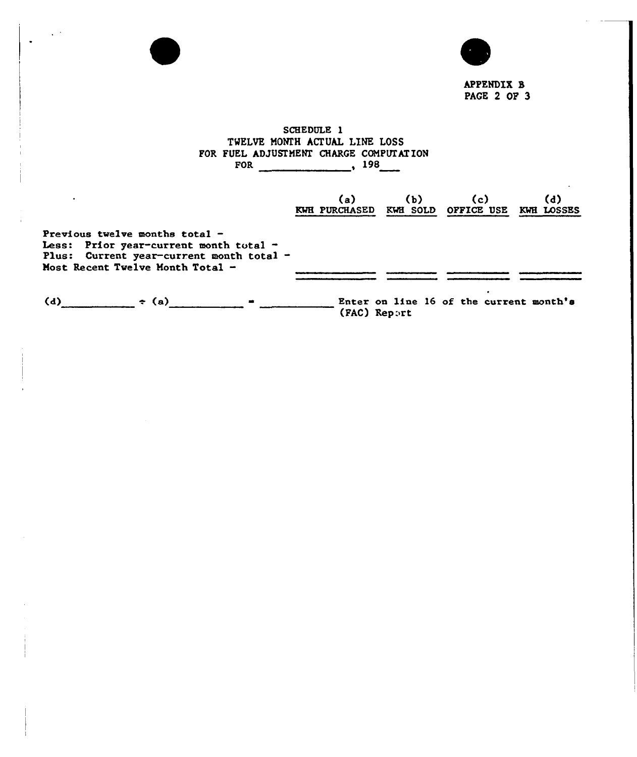

APPENDIX 8 PAGE 2 OF 3

# SCHEDULE 1 TWELVE MONEH ACTUAL LINE LOSS FOR FUEL ADJUSTMENT CHARGE COMPUTATION FOR 198

 $\sim$   $^{\circ}$ 

|                                                                                                                                                            | (a) —<br>KWH PURCHASED KWH SOLD OFFICE USE KWH LOSSES | (b) | (c)                                     | (d) |
|------------------------------------------------------------------------------------------------------------------------------------------------------------|-------------------------------------------------------|-----|-----------------------------------------|-----|
| Previous twelve months total $-$<br>Less: Prior year-current month total -<br>Plus: Current year-current month total -<br>Most Recent Twelve Month Total - |                                                       |     |                                         |     |
| (d)<br>$\div$ (a)                                                                                                                                          | (FAC) Report                                          |     | Enter on line 16 of the current month's |     |